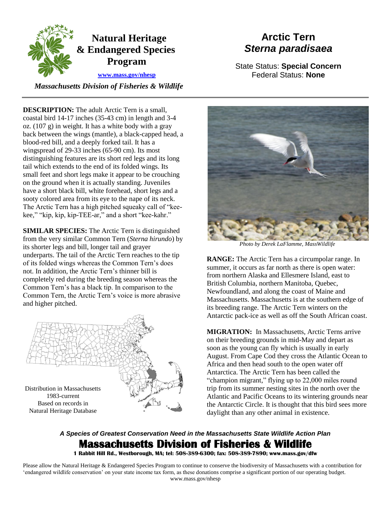

 *Massachusetts Division of Fisheries & Wildlife* 

## **Arctic Tern**  *Sterna paradisaea*

State Status: **Special Concern**  Federal Status: **None** 

**DESCRIPTION:** The adult Arctic Tern is a small. coastal bird 14-17 inches (35-43 cm) in length and 3-4 oz. (107 g) in weight. It has a white body with a gray back between the wings (mantle), a black-capped head, a blood-red bill, and a deeply forked tail. It has a wingspread of 29-33 inches (65-90 cm). Its most distinguishing features are its short red legs and its long tail which extends to the end of its folded wings. Its small feet and short legs make it appear to be crouching on the ground when it is actually standing. Juveniles have a short black bill, white forehead, short legs and a sooty colored area from its eye to the nape of its neck. The Arctic Tern has a high pitched squeaky call of "keekee," "kip, kip, kip-TEE-ar," and a short "kee-kahr."

 from the very similar Common Tern (*Sterna hirundo*) by underparts. The tail of the Arctic Tern reaches to the tip not. In addition, the Arctic Tern's thinner bill is **SIMILAR SPECIES:** The Arctic Tern is distinguished its shorter legs and bill, longer tail and grayer of its folded wings whereas the Common Tern's does completely red during the breeding season whereas the Common Tern's has a black tip. In comparison to the Common Tern, the Arctic Tern's voice is more abrasive and higher pitched.





*Photo by Derek LaFlamme, MassWildlife* 

**RANGE:** The Arctic Tern has a circumpolar range. In summer, it occurs as far north as there is open water: from northern Alaska and Ellesmere Island, east to British Columbia, northern Manitoba, Quebec, Newfoundland, and along the coast of Maine and Massachusetts. Massachusetts is at the southern edge of its breeding range. The Arctic Tern winters on the Antarctic pack-ice as well as off the South African coast.

 **MIGRATION:** In Massachusetts, Arctic Terns arrive on their breeding grounds in mid-May and depart as soon as the young can fly which is usually in early August. From Cape Cod they cross the Atlantic Ocean to Africa and then head south to the open water off Antarctica. The Arctic Tern has been called the "champion migrant," flying up to 22,000 miles round trip from its summer nesting sites in the north over the Atlantic and Pacific Oceans to its wintering grounds near the Antarctic Circle. It is thought that this bird sees more daylight than any other animal in existence.

## *A Species of Greatest Conservation Need in the Massachusetts State Wildlife Action Plan*  **Massachusetts Division of Fisheries & Wildlife**

 **1 Rabbit Hill Rd., Westborough, MA; tel: 508-389-6300; fax: 508-389-7890; www.mass.gov/dfw** 

 Please allow the Natural Heritage & Endangered Species Program to continue to conserve the biodiversity of Massachusetts with a contribution for 'endangered wildlife conservation' on your state income tax form, as these donations comprise a significant portion of our operating budget. www.mass.gov/nhesp